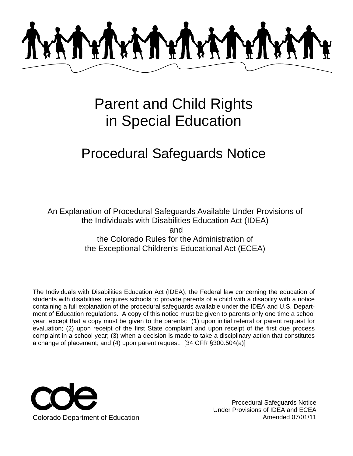

# Parent and Child Rights in Special Education

## Procedural Safeguards Notice

An Explanation of Procedural Safeguards Available Under Provisions of the Individuals with Disabilities Education Act (IDEA) and the Colorado Rules for the Administration of the Exceptional Children's Educational Act (ECEA)

The Individuals with Disabilities Education Act (IDEA), the Federal law concerning the education of students with disabilities, requires schools to provide parents of a child with a disability with a notice containing a full explanation of the procedural safeguards available under the IDEA and U.S. Department of Education regulations. A copy of this notice must be given to parents only one time a school year, except that a copy must be given to the parents: (1) upon initial referral or parent request for evaluation; (2) upon receipt of the first State complaint and upon receipt of the first due process complaint in a school year; (3) when a decision is made to take a disciplinary action that constitutes a change of placement; and (4) upon parent request. [34 CFR §300.504(a)]



Procedural Safeguards Notice Under Provisions of IDEA and ECEA Amended 07/01/11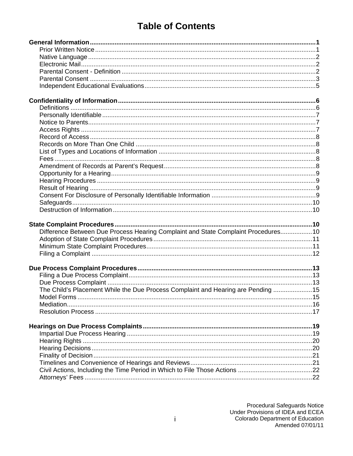### **Table of Contents**

| Difference Between Due Process Hearing Complaint and State Complaint Procedures10 |  |
|-----------------------------------------------------------------------------------|--|
|                                                                                   |  |
|                                                                                   |  |
|                                                                                   |  |
|                                                                                   |  |
|                                                                                   |  |
|                                                                                   |  |
|                                                                                   |  |
| The Child's Placement While the Due Process Complaint and Hearing are Pending 15  |  |
|                                                                                   |  |
|                                                                                   |  |
|                                                                                   |  |
|                                                                                   |  |
|                                                                                   |  |
|                                                                                   |  |
|                                                                                   |  |
|                                                                                   |  |
|                                                                                   |  |
|                                                                                   |  |
|                                                                                   |  |
|                                                                                   |  |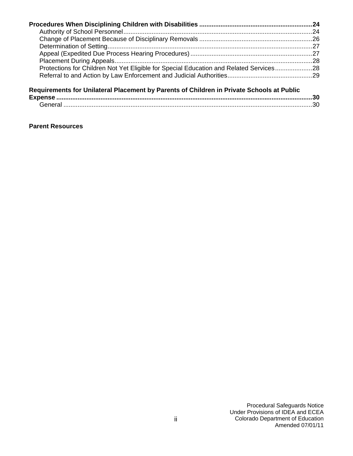| Protections for Children Not Yet Eligible for Special Education and Related Services28    |  |
|-------------------------------------------------------------------------------------------|--|
|                                                                                           |  |
| Requirements for Unilateral Placement by Parents of Children in Private Schools at Public |  |
|                                                                                           |  |
|                                                                                           |  |

#### **Parent Resources**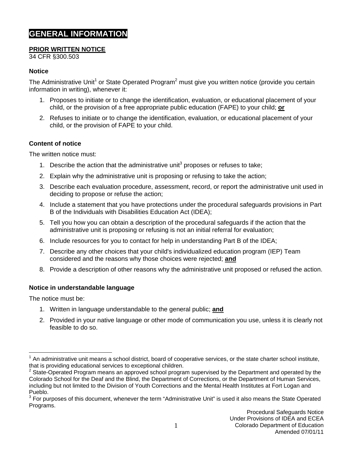### **GENERAL INFORMATION**

### **PRIOR WRITTEN NOTICE**

34 CFR §300.503

### **Notice**

The Administrative Unit<sup>1</sup> or State Operated Program<sup>2</sup> must give you written notice (provide you certain information in writing), whenever it:

- 1. Proposes to initiate or to change the identification, evaluation, or educational placement of your child, or the provision of a free appropriate public education (FAPE) to your child; **or**
- 2. Refuses to initiate or to change the identification, evaluation, or educational placement of your child, or the provision of FAPE to your child.

### **Content of notice**

The written notice must:

- 1. Describe the action that the administrative unit<sup>3</sup> proposes or refuses to take;
- 2. Explain why the administrative unit is proposing or refusing to take the action;
- 3. Describe each evaluation procedure, assessment, record, or report the administrative unit used in deciding to propose or refuse the action;
- 4. Include a statement that you have protections under the procedural safeguards provisions in Part B of the Individuals with Disabilities Education Act (IDEA);
- 5. Tell you how you can obtain a description of the procedural safeguards if the action that the administrative unit is proposing or refusing is not an initial referral for evaluation;
- 6. Include resources for you to contact for help in understanding Part B of the IDEA;
- 7. Describe any other choices that your child's individualized education program (IEP) Team considered and the reasons why those choices were rejected; **and**
- 8. Provide a description of other reasons why the administrative unit proposed or refused the action.

### **Notice in understandable language**

The notice must be:

- 1. Written in language understandable to the general public; **and**
- 2. Provided in your native language or other mode of communication you use, unless it is clearly not feasible to do so.

 $\overline{a}$  $1$  An administrative unit means a school district, board of cooperative services, or the state charter school institute, that is providing educational services to exceptional children.

<sup>2</sup> State-Operated Program means an approved school program supervised by the Department and operated by the Colorado School for the Deaf and the Blind, the Department of Corrections, or the Department of Human Services, including but not limited to the Division of Youth Corrections and the Mental Health Institutes at Fort Logan and Pueblo.

 $3$  For purposes of this document, whenever the term "Administrative Unit" is used it also means the State Operated Programs.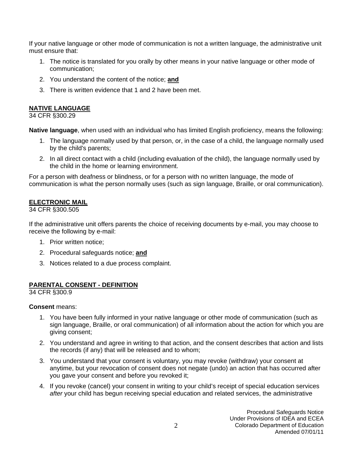If your native language or other mode of communication is not a written language, the administrative unit must ensure that:

- 1. The notice is translated for you orally by other means in your native language or other mode of communication;
- 2. You understand the content of the notice; **and**
- 3. There is written evidence that 1 and 2 have been met.

### **NATIVE LANGUAGE**

#### 34 CFR §300.29

**Native language**, when used with an individual who has limited English proficiency, means the following:

- 1. The language normally used by that person, or, in the case of a child, the language normally used by the child's parents;
- 2. In all direct contact with a child (including evaluation of the child), the language normally used by the child in the home or learning environment.

For a person with deafness or blindness, or for a person with no written language, the mode of communication is what the person normally uses (such as sign language, Braille, or oral communication).

### **ELECTRONIC MAIL**

### 34 CFR §300.505

If the administrative unit offers parents the choice of receiving documents by e-mail, you may choose to receive the following by e-mail:

- 1. Prior written notice;
- 2. Procedural safeguards notice; **and**
- 3. Notices related to a due process complaint.

### **PARENTAL CONSENT - DEFINITION**

34 CFR §300.9

### **Consent** means:

- 1. You have been fully informed in your native language or other mode of communication (such as sign language, Braille, or oral communication) of all information about the action for which you are giving consent;
- 2. You understand and agree in writing to that action, and the consent describes that action and lists the records (if any) that will be released and to whom;
- 3. You understand that your consent is voluntary, you may revoke (withdraw) your consent at anytime, but your revocation of consent does not negate (undo) an action that has occurred after you gave your consent and before you revoked it;
- 4. If you revoke (cancel) your consent in writing to your child's receipt of special education services *after* your child has begun receiving special education and related services, the administrative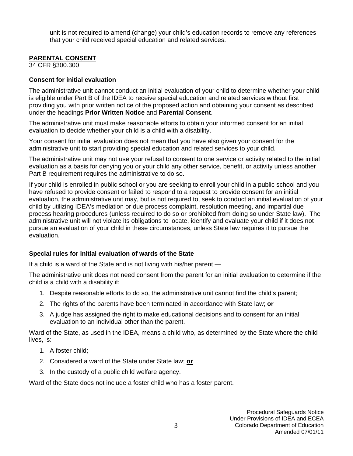unit is not required to amend (change) your child's education records to remove any references that your child received special education and related services.

### **PARENTAL CONSENT**

34 CFR §300.300

### **Consent for initial evaluation**

The administrative unit cannot conduct an initial evaluation of your child to determine whether your child is eligible under Part B of the IDEA to receive special education and related services without first providing you with prior written notice of the proposed action and obtaining your consent as described under the headings **Prior Written Notice** and **Parental Consent**.

The administrative unit must make reasonable efforts to obtain your informed consent for an initial evaluation to decide whether your child is a child with a disability.

Your consent for initial evaluation does not mean that you have also given your consent for the administrative unit to start providing special education and related services to your child.

The administrative unit may not use your refusal to consent to one service or activity related to the initial evaluation as a basis for denying you or your child any other service, benefit, or activity unless another Part B requirement requires the administrative to do so.

If your child is enrolled in public school or you are seeking to enroll your child in a public school and you have refused to provide consent or failed to respond to a request to provide consent for an initial evaluation, the administrative unit may, but is not required to, seek to conduct an initial evaluation of your child by utilizing IDEA's mediation or due process complaint, resolution meeting, and impartial due process hearing procedures (unless required to do so or prohibited from doing so under State law). The administrative unit will not violate its obligations to locate, identify and evaluate your child if it does not pursue an evaluation of your child in these circumstances, unless State law requires it to pursue the evaluation.

### **Special rules for initial evaluation of wards of the State**

If a child is a ward of the State and is not living with his/her parent —

The administrative unit does not need consent from the parent for an initial evaluation to determine if the child is a child with a disability if:

- 1. Despite reasonable efforts to do so, the administrative unit cannot find the child's parent;
- 2. The rights of the parents have been terminated in accordance with State law; **or**
- 3. A judge has assigned the right to make educational decisions and to consent for an initial evaluation to an individual other than the parent.

Ward of the State, as used in the IDEA, means a child who, as determined by the State where the child lives, is:

- 1. A foster child;
- 2. Considered a ward of the State under State law; **or**
- 3. In the custody of a public child welfare agency.

Ward of the State does not include a foster child who has a foster parent.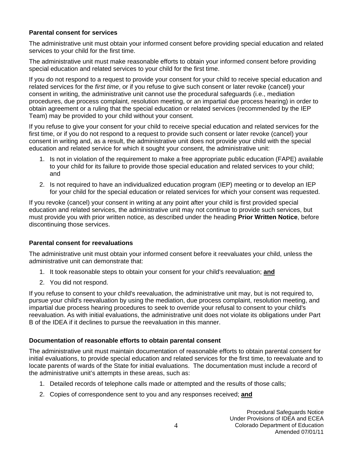### **Parental consent for services**

The administrative unit must obtain your informed consent before providing special education and related services to your child for the first time.

The administrative unit must make reasonable efforts to obtain your informed consent before providing special education and related services to your child for the first time.

If you do not respond to a request to provide your consent for your child to receive special education and related services for the *first time*, or if you refuse to give such consent or later revoke (cancel) your consent in writing, the administrative unit cannot use the procedural safeguards (i.e., mediation procedures, due process complaint, resolution meeting, or an impartial due process hearing) in order to obtain agreement or a ruling that the special education or related services (recommended by the IEP Team) may be provided to your child without your consent.

If you refuse to give your consent for your child to receive special education and related services for the first time, or if you do not respond to a request to provide such consent or later revoke (cancel) your consent in writing and, as a result, the administrative unit does not provide your child with the special education and related service for which it sought your consent, the administrative unit:

- 1. Is not in violation of the requirement to make a free appropriate public education (FAPE) available to your child for its failure to provide those special education and related services to your child; and
- 2. Is not required to have an individualized education program (IEP) meeting or to develop an IEP for your child for the special education or related services for which your consent was requested.

If you revoke (cancel) your consent in writing at any point after your child is first provided special education and related services, the administrative unit may not continue to provide such services, but must provide you with prior written notice, as described under the heading **Prior Written Notice**, before discontinuing those services.

### **Parental consent for reevaluations**

The administrative unit must obtain your informed consent before it reevaluates your child, unless the administrative unit can demonstrate that:

- 1. It took reasonable steps to obtain your consent for your child's reevaluation; **and**
- 2. You did not respond.

If you refuse to consent to your child's reevaluation, the administrative unit may, but is not required to, pursue your child's reevaluation by using the mediation, due process complaint, resolution meeting, and impartial due process hearing procedures to seek to override your refusal to consent to your child's reevaluation. As with initial evaluations, the administrative unit does not violate its obligations under Part B of the IDEA if it declines to pursue the reevaluation in this manner.

### **Documentation of reasonable efforts to obtain parental consent**

The administrative unit must maintain documentation of reasonable efforts to obtain parental consent for initial evaluations, to provide special education and related services for the first time, to reevaluate and to locate parents of wards of the State for initial evaluations. The documentation must include a record of the administrative unit's attempts in these areas, such as:

- 1. Detailed records of telephone calls made or attempted and the results of those calls;
- 2. Copies of correspondence sent to you and any responses received; **and**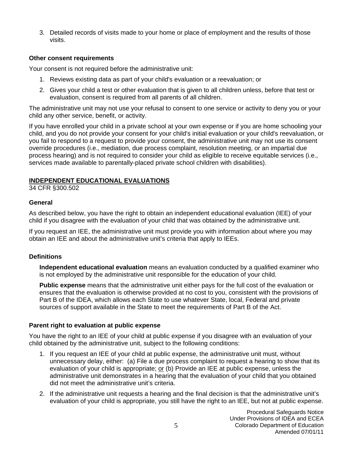3. Detailed records of visits made to your home or place of employment and the results of those visits.

### **Other consent requirements**

Your consent is not required before the administrative unit:

- 1. Reviews existing data as part of your child's evaluation or a reevaluation; or
- 2. Gives your child a test or other evaluation that is given to all children unless, before that test or evaluation, consent is required from all parents of all children.

The administrative unit may not use your refusal to consent to one service or activity to deny you or your child any other service, benefit, or activity.

If you have enrolled your child in a private school at your own expense or if you are home schooling your child, and you do not provide your consent for your child's initial evaluation or your child's reevaluation, or you fail to respond to a request to provide your consent, the administrative unit may not use its consent override procedures (i.e., mediation, due process complaint, resolution meeting, or an impartial due process hearing) and is not required to consider your child as eligible to receive equitable services (i.e., services made available to parentally-placed private school children with disabilities).

### **INDEPENDENT EDUCATIONAL EVALUATIONS**

34 CFR §300.502

### **General**

As described below, you have the right to obtain an independent educational evaluation (IEE) of your child if you disagree with the evaluation of your child that was obtained by the administrative unit.

If you request an IEE, the administrative unit must provide you with information about where you may obtain an IEE and about the administrative unit's criteria that apply to IEEs.

### **Definitions**

**Independent educational evaluation** means an evaluation conducted by a qualified examiner who is not employed by the administrative unit responsible for the education of your child.

**Public expense** means that the administrative unit either pays for the full cost of the evaluation or ensures that the evaluation is otherwise provided at no cost to you, consistent with the provisions of Part B of the IDEA, which allows each State to use whatever State, local, Federal and private sources of support available in the State to meet the requirements of Part B of the Act.

### **Parent right to evaluation at public expense**

You have the right to an IEE of your child at public expense if you disagree with an evaluation of your child obtained by the administrative unit, subject to the following conditions:

- 1. If you request an IEE of your child at public expense, the administrative unit must, without unnecessary delay, either: (a) File a due process complaint to request a hearing to show that its evaluation of your child is appropriate; or (b) Provide an IEE at public expense, unless the administrative unit demonstrates in a hearing that the evaluation of your child that you obtained did not meet the administrative unit's criteria.
- 2. If the administrative unit requests a hearing and the final decision is that the administrative unit's evaluation of your child is appropriate, you still have the right to an IEE, but not at public expense.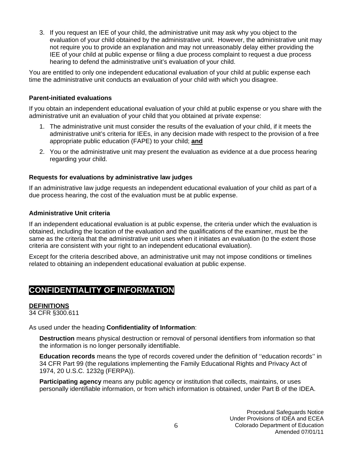3. If you request an IEE of your child, the administrative unit may ask why you object to the evaluation of your child obtained by the administrative unit. However, the administrative unit may not require you to provide an explanation and may not unreasonably delay either providing the IEE of your child at public expense or filing a due process complaint to request a due process hearing to defend the administrative unit's evaluation of your child.

You are entitled to only one independent educational evaluation of your child at public expense each time the administrative unit conducts an evaluation of your child with which you disagree.

### **Parent-initiated evaluations**

If you obtain an independent educational evaluation of your child at public expense or you share with the administrative unit an evaluation of your child that you obtained at private expense:

- 1. The administrative unit must consider the results of the evaluation of your child, if it meets the administrative unit's criteria for IEEs, in any decision made with respect to the provision of a free appropriate public education (FAPE) to your child; **and**
- 2. You or the administrative unit may present the evaluation as evidence at a due process hearing regarding your child.

### **Requests for evaluations by administrative law judges**

If an administrative law judge requests an independent educational evaluation of your child as part of a due process hearing, the cost of the evaluation must be at public expense.

### **Administrative Unit criteria**

If an independent educational evaluation is at public expense, the criteria under which the evaluation is obtained, including the location of the evaluation and the qualifications of the examiner, must be the same as the criteria that the administrative unit uses when it initiates an evaluation (to the extent those criteria are consistent with your right to an independent educational evaluation).

Except for the criteria described above, an administrative unit may not impose conditions or timelines related to obtaining an independent educational evaluation at public expense.

### **CONFIDENTIALITY OF INFORMATION**

### **DEFINITIONS**

34 CFR §300.611

As used under the heading **Confidentiality of Information**:

**Destruction** means physical destruction or removal of personal identifiers from information so that the information is no longer personally identifiable.

**Education records** means the type of records covered under the definition of ''education records'' in 34 CFR Part 99 (the regulations implementing the Family Educational Rights and Privacy Act of 1974, 20 U.S.C. 1232g (FERPA)).

**Participating agency** means any public agency or institution that collects, maintains, or uses personally identifiable information, or from which information is obtained, under Part B of the IDEA.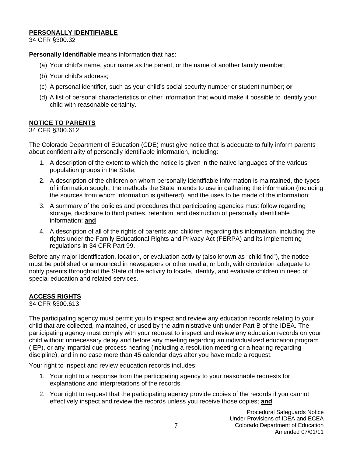### **PERSONALLY IDENTIFIABLE**

34 CFR §300.32

**Personally identifiable** means information that has:

- (a) Your child's name, your name as the parent, or the name of another family member;
- (b) Your child's address;
- (c) A personal identifier, such as your child's social security number or student number; **or**
- (d) A list of personal characteristics or other information that would make it possible to identify your child with reasonable certainty.

### **NOTICE TO PARENTS**

34 CFR §300.612

The Colorado Department of Education (CDE) must give notice that is adequate to fully inform parents about confidentiality of personally identifiable information, including:

- 1. A description of the extent to which the notice is given in the native languages of the various population groups in the State;
- 2. A description of the children on whom personally identifiable information is maintained, the types of information sought, the methods the State intends to use in gathering the information (including the sources from whom information is gathered), and the uses to be made of the information;
- 3. A summary of the policies and procedures that participating agencies must follow regarding storage, disclosure to third parties, retention, and destruction of personally identifiable information; **and**
- 4. A description of all of the rights of parents and children regarding this information, including the rights under the Family Educational Rights and Privacy Act (FERPA) and its implementing regulations in 34 CFR Part 99.

Before any major identification, location, or evaluation activity (also known as "child find"), the notice must be published or announced in newspapers or other media, or both, with circulation adequate to notify parents throughout the State of the activity to locate, identify, and evaluate children in need of special education and related services.

### **ACCESS RIGHTS**

34 CFR §300.613

The participating agency must permit you to inspect and review any education records relating to your child that are collected, maintained, or used by the administrative unit under Part B of the IDEA. The participating agency must comply with your request to inspect and review any education records on your child without unnecessary delay and before any meeting regarding an individualized education program (IEP), or any impartial due process hearing (including a resolution meeting or a hearing regarding discipline), and in no case more than 45 calendar days after you have made a request.

Your right to inspect and review education records includes:

- 1. Your right to a response from the participating agency to your reasonable requests for explanations and interpretations of the records;
- 2. Your right to request that the participating agency provide copies of the records if you cannot effectively inspect and review the records unless you receive those copies; **and**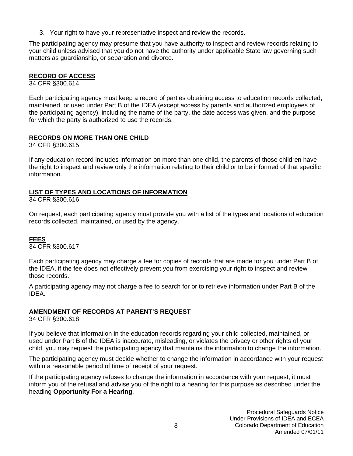3. Your right to have your representative inspect and review the records.

The participating agency may presume that you have authority to inspect and review records relating to your child unless advised that you do not have the authority under applicable State law governing such matters as guardianship, or separation and divorce.

### **RECORD OF ACCESS**

34 CFR §300.614

Each participating agency must keep a record of parties obtaining access to education records collected, maintained, or used under Part B of the IDEA (except access by parents and authorized employees of the participating agency), including the name of the party, the date access was given, and the purpose for which the party is authorized to use the records.

### **RECORDS ON MORE THAN ONE CHILD**

34 CFR §300.615

If any education record includes information on more than one child, the parents of those children have the right to inspect and review only the information relating to their child or to be informed of that specific information.

### **LIST OF TYPES AND LOCATIONS OF INFORMATION**

34 CFR §300.616

On request, each participating agency must provide you with a list of the types and locations of education records collected, maintained, or used by the agency.

### **FEES**

34 CFR §300.617

Each participating agency may charge a fee for copies of records that are made for you under Part B of the IDEA, if the fee does not effectively prevent you from exercising your right to inspect and review those records.

A participating agency may not charge a fee to search for or to retrieve information under Part B of the IDEA.

### **AMENDMENT OF RECORDS AT PARENT'S REQUEST**

34 CFR §300.618

If you believe that information in the education records regarding your child collected, maintained, or used under Part B of the IDEA is inaccurate, misleading, or violates the privacy or other rights of your child, you may request the participating agency that maintains the information to change the information.

The participating agency must decide whether to change the information in accordance with your request within a reasonable period of time of receipt of your request.

If the participating agency refuses to change the information in accordance with your request, it must inform you of the refusal and advise you of the right to a hearing for this purpose as described under the heading **Opportunity For a Hearing**.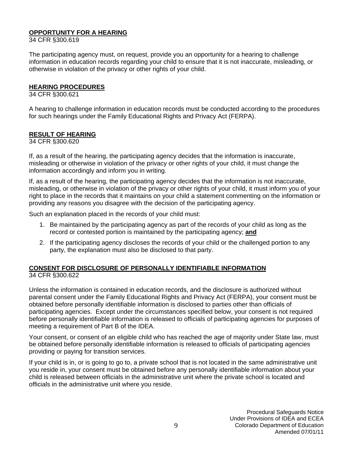### **OPPORTUNITY FOR A HEARING**

34 CFR §300.619

The participating agency must, on request, provide you an opportunity for a hearing to challenge information in education records regarding your child to ensure that it is not inaccurate, misleading, or otherwise in violation of the privacy or other rights of your child.

#### **HEARING PROCEDURES**

34 CFR §300.621

A hearing to challenge information in education records must be conducted according to the procedures for such hearings under the Family Educational Rights and Privacy Act (FERPA).

#### **RESULT OF HEARING**

34 CFR §300.620

If, as a result of the hearing, the participating agency decides that the information is inaccurate, misleading or otherwise in violation of the privacy or other rights of your child, it must change the information accordingly and inform you in writing.

If, as a result of the hearing, the participating agency decides that the information is not inaccurate, misleading, or otherwise in violation of the privacy or other rights of your child, it must inform you of your right to place in the records that it maintains on your child a statement commenting on the information or providing any reasons you disagree with the decision of the participating agency.

Such an explanation placed in the records of your child must:

- 1. Be maintained by the participating agency as part of the records of your child as long as the record or contested portion is maintained by the participating agency; **and**
- 2. If the participating agency discloses the records of your child or the challenged portion to any party, the explanation must also be disclosed to that party.

### **CONSENT FOR DISCLOSURE OF PERSONALLY IDENTIFIABLE INFORMATION** 34 CFR §300.622

Unless the information is contained in education records, and the disclosure is authorized without parental consent under the Family Educational Rights and Privacy Act (FERPA), your consent must be obtained before personally identifiable information is disclosed to parties other than officials of participating agencies. Except under the circumstances specified below, your consent is not required before personally identifiable information is released to officials of participating agencies for purposes of meeting a requirement of Part B of the IDEA.

Your consent, or consent of an eligible child who has reached the age of majority under State law, must be obtained before personally identifiable information is released to officials of participating agencies providing or paying for transition services.

If your child is in, or is going to go to, a private school that is not located in the same administrative unit you reside in, your consent must be obtained before any personally identifiable information about your child is released between officials in the administrative unit where the private school is located and officials in the administrative unit where you reside.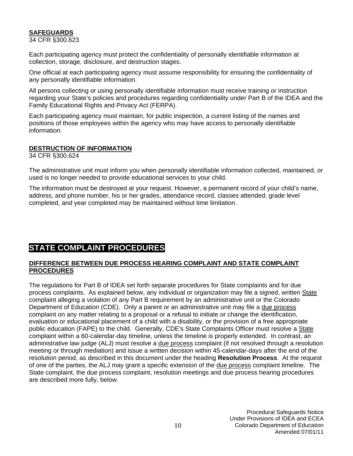### **SAFEGUARDS**

34 CFR §300.623

Each participating agency must protect the confidentiality of personally identifiable information at collection, storage, disclosure, and destruction stages.

One official at each participating agency must assume responsibility for ensuring the confidentiality of any personally identifiable information.

All persons collecting or using personally identifiable information must receive training or instruction regarding your State's policies and procedures regarding confidentiality under Part B of the IDEA and the Family Educational Rights and Privacy Act (FERPA).

Each participating agency must maintain, for public inspection, a current listing of the names and positions of those employees within the agency who may have access to personally identifiable information.

### **DESTRUCTION OF INFORMATION**

34 CFR §300.624

The administrative unit must inform you when personally identifiable information collected, maintained, or used is no longer needed to provide educational services to your child.

The information must be destroyed at your request. However, a permanent record of your child's name, address, and phone number, his or her grades, attendance record, classes attended, grade level completed, and year completed may be maintained without time limitation.

### **STATE COMPLAINT PROCEDURES**

### **DIFFERENCE BETWEEN DUE PROCESS HEARING COMPLAINT AND STATE COMPLAINT PROCEDURES**

The regulations for Part B of IDEA set forth separate procedures for State complaints and for due process complaints. As explained below, any individual or organization may file a signed, written State complaint alleging a violation of any Part B requirement by an administrative unit or the Colorado Department of Education (CDE). Only a parent or an administrative unit may file a due process complaint on any matter relating to a proposal or a refusal to initiate or change the identification, evaluation or educational placement of a child with a disability, or the provision of a free appropriate public education (FAPE) to the child. Generally, CDE's State Complaints Officer must resolve a State complaint within a 60-calendar-day timeline, unless the timeline is properly extended. In contrast, an administrative law judge (ALJ) must resolve a due process complaint (if not resolved through a resolution meeting or through mediation) and issue a written decision within 45-calendar-days after the end of the resolution period, as described in this document under the heading **Resolution Process**. At the request of one of the parties, the ALJ may grant a specific extension of the due process complaint timeline. The State complaint, the due process complaint, resolution meetings and due process hearing procedures are described more fully, below.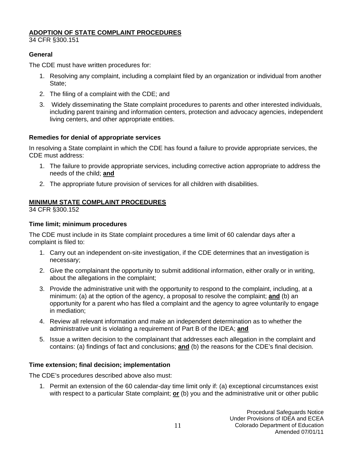### **ADOPTION OF STATE COMPLAINT PROCEDURES**

34 CFR §300.151

### **General**

The CDE must have written procedures for:

- 1. Resolving any complaint, including a complaint filed by an organization or individual from another State;
- 2. The filing of a complaint with the CDE; and
- 3. Widely disseminating the State complaint procedures to parents and other interested individuals, including parent training and information centers, protection and advocacy agencies, independent living centers, and other appropriate entities.

### **Remedies for denial of appropriate services**

In resolving a State complaint in which the CDE has found a failure to provide appropriate services, the CDE must address:

- 1. The failure to provide appropriate services, including corrective action appropriate to address the needs of the child; **and**
- 2. The appropriate future provision of services for all children with disabilities.

### **MINIMUM STATE COMPLAINT PROCEDURES**

34 CFR §300.152

### **Time limit; minimum procedures**

The CDE must include in its State complaint procedures a time limit of 60 calendar days after a complaint is filed to:

- 1. Carry out an independent on-site investigation, if the CDE determines that an investigation is necessary;
- 2. Give the complainant the opportunity to submit additional information, either orally or in writing, about the allegations in the complaint;
- 3. Provide the administrative unit with the opportunity to respond to the complaint, including, at a minimum: (a) at the option of the agency, a proposal to resolve the complaint; **and** (b) an opportunity for a parent who has filed a complaint and the agency to agree voluntarily to engage in mediation;
- 4. Review all relevant information and make an independent determination as to whether the administrative unit is violating a requirement of Part B of the IDEA; **and**
- 5. Issue a written decision to the complainant that addresses each allegation in the complaint and contains: (a) findings of fact and conclusions; **and** (b) the reasons for the CDE's final decision.

### **Time extension; final decision; implementation**

The CDE's procedures described above also must:

1. Permit an extension of the 60 calendar-day time limit only if: (a) exceptional circumstances exist with respect to a particular State complaint; **or** (b) you and the administrative unit or other public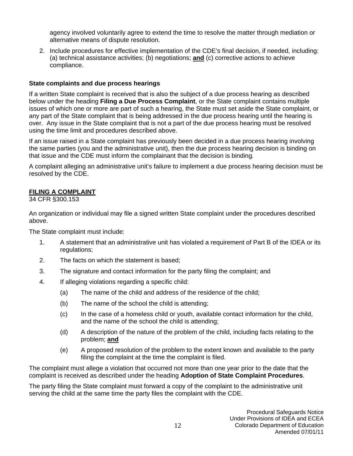agency involved voluntarily agree to extend the time to resolve the matter through mediation or alternative means of dispute resolution.

2. Include procedures for effective implementation of the CDE's final decision, if needed, including: (a) technical assistance activities; (b) negotiations; **and** (c) corrective actions to achieve compliance.

### **State complaints and due process hearings**

If a written State complaint is received that is also the subject of a due process hearing as described below under the heading **Filing a Due Process Complaint**, or the State complaint contains multiple issues of which one or more are part of such a hearing, the State must set aside the State complaint, or any part of the State complaint that is being addressed in the due process hearing until the hearing is over. Any issue in the State complaint that is not a part of the due process hearing must be resolved using the time limit and procedures described above.

If an issue raised in a State complaint has previously been decided in a due process hearing involving the same parties (you and the administrative unit), then the due process hearing decision is binding on that issue and the CDE must inform the complainant that the decision is binding.

A complaint alleging an administrative unit's failure to implement a due process hearing decision must be resolved by the CDE.

#### **FILING A COMPLAINT**

34 CFR §300.153

An organization or individual may file a signed written State complaint under the procedures described above.

The State complaint must include:

- 1. A statement that an administrative unit has violated a requirement of Part B of the IDEA or its regulations;
- 2. The facts on which the statement is based;
- 3. The signature and contact information for the party filing the complaint; and
- 4. If alleging violations regarding a specific child:
	- (a) The name of the child and address of the residence of the child;
	- (b) The name of the school the child is attending;
	- (c) In the case of a homeless child or youth, available contact information for the child, and the name of the school the child is attending;
	- (d) A description of the nature of the problem of the child, including facts relating to the problem; **and**
	- (e) A proposed resolution of the problem to the extent known and available to the party filing the complaint at the time the complaint is filed.

The complaint must allege a violation that occurred not more than one year prior to the date that the complaint is received as described under the heading **Adoption of State Complaint Procedures**.

The party filing the State complaint must forward a copy of the complaint to the administrative unit serving the child at the same time the party files the complaint with the CDE.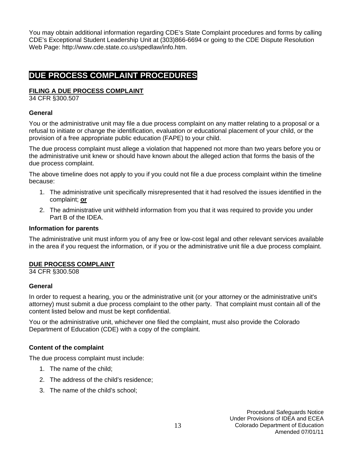You may obtain additional information regarding CDE's State Complaint procedures and forms by calling CDE's Exceptional Student Leadership Unit at (303)866-6694 or going to the CDE Dispute Resolution Web Page: http://www.cde.state.co.us/spedlaw/info.htm.

### **DUE PROCESS COMPLAINT PROCEDURES**

### **FILING A DUE PROCESS COMPLAINT**

34 CFR §300.507

### **General**

You or the administrative unit may file a due process complaint on any matter relating to a proposal or a refusal to initiate or change the identification, evaluation or educational placement of your child, or the provision of a free appropriate public education (FAPE) to your child.

The due process complaint must allege a violation that happened not more than two years before you or the administrative unit knew or should have known about the alleged action that forms the basis of the due process complaint.

The above timeline does not apply to you if you could not file a due process complaint within the timeline because:

- 1. The administrative unit specifically misrepresented that it had resolved the issues identified in the complaint; **or**
- 2. The administrative unit withheld information from you that it was required to provide you under Part B of the IDEA.

### **Information for parents**

The administrative unit must inform you of any free or low-cost legal and other relevant services available in the area if you request the information, or if you or the administrative unit file a due process complaint.

### **DUE PROCESS COMPLAINT**

34 CFR §300.508

### **General**

In order to request a hearing, you or the administrative unit (or your attorney or the administrative unit's attorney) must submit a due process complaint to the other party. That complaint must contain all of the content listed below and must be kept confidential.

You or the administrative unit, whichever one filed the complaint, must also provide the Colorado Department of Education (CDE) with a copy of the complaint.

### **Content of the complaint**

The due process complaint must include:

- 1. The name of the child;
- 2. The address of the child's residence;
- 3. The name of the child's school;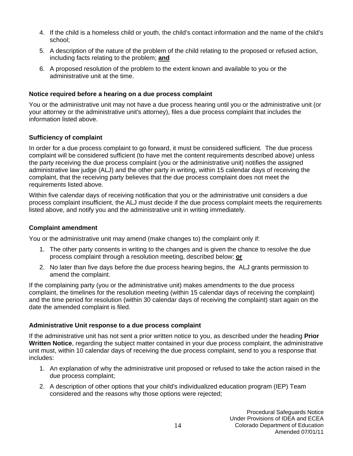- 4. If the child is a homeless child or youth, the child's contact information and the name of the child's school;
- 5. A description of the nature of the problem of the child relating to the proposed or refused action, including facts relating to the problem; **and**
- 6. A proposed resolution of the problem to the extent known and available to you or the administrative unit at the time.

### **Notice required before a hearing on a due process complaint**

You or the administrative unit may not have a due process hearing until you or the administrative unit (or your attorney or the administrative unit's attorney), files a due process complaint that includes the information listed above.

### **Sufficiency of complaint**

In order for a due process complaint to go forward, it must be considered sufficient. The due process complaint will be considered sufficient (to have met the content requirements described above) unless the party receiving the due process complaint (you or the administrative unit) notifies the assigned administrative law judge (ALJ) and the other party in writing, within 15 calendar days of receiving the complaint, that the receiving party believes that the due process complaint does not meet the requirements listed above.

Within five calendar days of receiving notification that you or the administrative unit considers a due process complaint insufficient, the ALJ must decide if the due process complaint meets the requirements listed above, and notify you and the administrative unit in writing immediately.

### **Complaint amendment**

You or the administrative unit may amend (make changes to) the complaint only if:

- 1. The other party consents in writing to the changes and is given the chance to resolve the due process complaint through a resolution meeting, described below; **or**
- 2. No later than five days before the due process hearing begins, the ALJ grants permission to amend the complaint.

If the complaining party (you or the administrative unit) makes amendments to the due process complaint, the timelines for the resolution meeting (within 15 calendar days of receiving the complaint) and the time period for resolution (within 30 calendar days of receiving the complaint) start again on the date the amended complaint is filed.

### **Administrative Unit response to a due process complaint**

If the administrative unit has not sent a prior written notice to you, as described under the heading **Prior Written Notice**, regarding the subject matter contained in your due process complaint, the administrative unit must, within 10 calendar days of receiving the due process complaint, send to you a response that includes:

- 1. An explanation of why the administrative unit proposed or refused to take the action raised in the due process complaint;
- 2. A description of other options that your child's individualized education program (IEP) Team considered and the reasons why those options were rejected;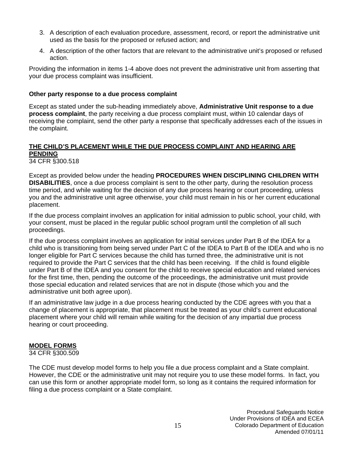- 3. A description of each evaluation procedure, assessment, record, or report the administrative unit used as the basis for the proposed or refused action; and
- 4. A description of the other factors that are relevant to the administrative unit's proposed or refused action.

Providing the information in items 1-4 above does not prevent the administrative unit from asserting that your due process complaint was insufficient.

### **Other party response to a due process complaint**

Except as stated under the sub-heading immediately above, **Administrative Unit response to a due process complaint**, the party receiving a due process complaint must, within 10 calendar days of receiving the complaint, send the other party a response that specifically addresses each of the issues in the complaint.

### **THE CHILD'S PLACEMENT WHILE THE DUE PROCESS COMPLAINT AND HEARING ARE PENDING**

34 CFR §300.518

Except as provided below under the heading **PROCEDURES WHEN DISCIPLINING CHILDREN WITH DISABILITIES**, once a due process complaint is sent to the other party, during the resolution process time period, and while waiting for the decision of any due process hearing or court proceeding, unless you and the administrative unit agree otherwise, your child must remain in his or her current educational placement.

If the due process complaint involves an application for initial admission to public school, your child, with your consent, must be placed in the regular public school program until the completion of all such proceedings.

If the due process complaint involves an application for initial services under Part B of the IDEA for a child who is transitioning from being served under Part C of the IDEA to Part B of the IDEA and who is no longer eligible for Part C services because the child has turned three, the administrative unit is not required to provide the Part C services that the child has been receiving. If the child is found eligible under Part B of the IDEA and you consent for the child to receive special education and related services for the first time, then, pending the outcome of the proceedings, the administrative unit must provide those special education and related services that are not in dispute (those which you and the administrative unit both agree upon).

If an administrative law judge in a due process hearing conducted by the CDE agrees with you that a change of placement is appropriate, that placement must be treated as your child's current educational placement where your child will remain while waiting for the decision of any impartial due process hearing or court proceeding.

### **MODEL FORMS**

34 CFR §300.509

The CDE must develop model forms to help you file a due process complaint and a State complaint. However, the CDE or the administrative unit may not require you to use these model forms. In fact, you can use this form or another appropriate model form, so long as it contains the required information for filing a due process complaint or a State complaint.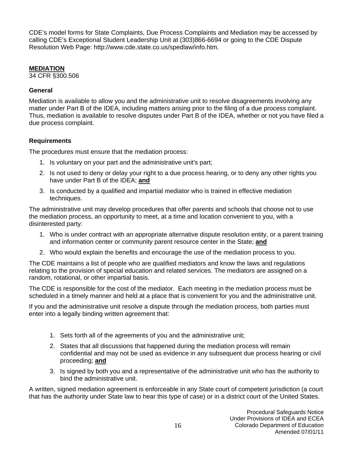CDE's model forms for State Complaints, Due Process Complaints and Mediation may be accessed by calling CDE's Exceptional Student Leadership Unit at (303)866-6694 or going to the CDE Dispute Resolution Web Page: http://www.cde.state.co.us/spedlaw/info.htm.

### **MEDIATION**

34 CFR §300.506

### **General**

Mediation is available to allow you and the administrative unit to resolve disagreements involving any matter under Part B of the IDEA, including matters arising prior to the filing of a due process complaint. Thus, mediation is available to resolve disputes under Part B of the IDEA, whether or not you have filed a due process complaint.

### **Requirements**

The procedures must ensure that the mediation process:

- 1. Is voluntary on your part and the administrative unit's part;
- 2. Is not used to deny or delay your right to a due process hearing, or to deny any other rights you have under Part B of the IDEA; **and**
- 3. Is conducted by a qualified and impartial mediator who is trained in effective mediation techniques.

The administrative unit may develop procedures that offer parents and schools that choose not to use the mediation process, an opportunity to meet, at a time and location convenient to you, with a disinterested party:

- 1. Who is under contract with an appropriate alternative dispute resolution entity, or a parent training and information center or community parent resource center in the State; **and**
- 2. Who would explain the benefits and encourage the use of the mediation process to you.

The CDE maintains a list of people who are qualified mediators and know the laws and regulations relating to the provision of special education and related services. The mediators are assigned on a random, rotational, or other impartial basis.

The CDE is responsible for the cost of the mediator. Each meeting in the mediation process must be scheduled in a timely manner and held at a place that is convenient for you and the administrative unit.

If you and the administrative unit resolve a dispute through the mediation process, both parties must enter into a legally binding written agreement that:

- 1. Sets forth all of the agreements of you and the administrative unit;
- 2. States that all discussions that happened during the mediation process will remain confidential and may not be used as evidence in any subsequent due process hearing or civil proceeding; **and**
- 3. Is signed by both you and a representative of the administrative unit who has the authority to bind the administrative unit.

A written, signed mediation agreement is enforceable in any State court of competent jurisdiction (a court that has the authority under State law to hear this type of case) or in a district court of the United States.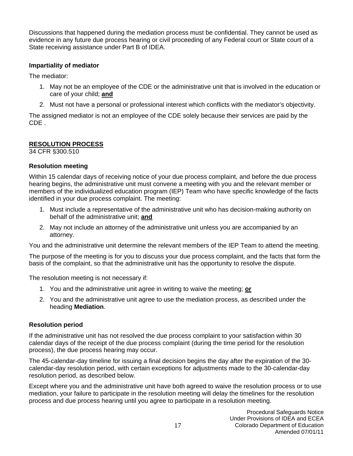Discussions that happened during the mediation process must be confidential. They cannot be used as evidence in any future due process hearing or civil proceeding of any Federal court or State court of a State receiving assistance under Part B of IDEA.

### **Impartiality of mediator**

The mediator:

- 1. May not be an employee of the CDE or the administrative unit that is involved in the education or care of your child; **and**
- 2. Must not have a personal or professional interest which conflicts with the mediator's objectivity.

The assigned mediator is not an employee of the CDE solely because their services are paid by the CDE .

### **RESOLUTION PROCESS**

34 CFR §300.510

### **Resolution meeting**

Within 15 calendar days of receiving notice of your due process complaint, and before the due process hearing begins, the administrative unit must convene a meeting with you and the relevant member or members of the individualized education program (IEP) Team who have specific knowledge of the facts identified in your due process complaint. The meeting:

- 1. Must include a representative of the administrative unit who has decision-making authority on behalf of the administrative unit; **and**
- 2. May not include an attorney of the administrative unit unless you are accompanied by an attorney.

You and the administrative unit determine the relevant members of the IEP Team to attend the meeting.

The purpose of the meeting is for you to discuss your due process complaint, and the facts that form the basis of the complaint, so that the administrative unit has the opportunity to resolve the dispute.

The resolution meeting is not necessary if:

- 1. You and the administrative unit agree in writing to waive the meeting; **or**
- 2. You and the administrative unit agree to use the mediation process, as described under the heading **Mediation**.

### **Resolution period**

If the administrative unit has not resolved the due process complaint to your satisfaction within 30 calendar days of the receipt of the due process complaint (during the time period for the resolution process), the due process hearing may occur.

The 45-calendar-day timeline for issuing a final decision begins the day after the expiration of the 30 calendar-day resolution period, with certain exceptions for adjustments made to the 30-calendar-day resolution period, as described below.

Except where you and the administrative unit have both agreed to waive the resolution process or to use mediation, your failure to participate in the resolution meeting will delay the timelines for the resolution process and due process hearing until you agree to participate in a resolution meeting.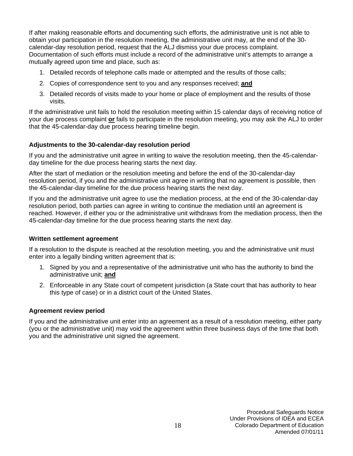If after making reasonable efforts and documenting such efforts, the administrative unit is not able to obtain your participation in the resolution meeting, the administrative unit may, at the end of the 30 calendar-day resolution period, request that the ALJ dismiss your due process complaint. Documentation of such efforts must include a record of the administrative unit's attempts to arrange a mutually agreed upon time and place, such as:

- 1. Detailed records of telephone calls made or attempted and the results of those calls;
- 2. Copies of correspondence sent to you and any responses received; **and**
- 3. Detailed records of visits made to your home or place of employment and the results of those visits.

If the administrative unit fails to hold the resolution meeting within 15 calendar days of receiving notice of your due process complaint **or** fails to participate in the resolution meeting, you may ask the ALJ to order that the 45-calendar-day due process hearing timeline begin.

### **Adjustments to the 30-calendar-day resolution period**

If you and the administrative unit agree in writing to waive the resolution meeting, then the 45-calendarday timeline for the due process hearing starts the next day.

After the start of mediation or the resolution meeting and before the end of the 30-calendar-day resolution period, if you and the administrative unit agree in writing that no agreement is possible, then the 45-calendar-day timeline for the due process hearing starts the next day.

If you and the administrative unit agree to use the mediation process, at the end of the 30-calendar-day resolution period, both parties can agree in writing to continue the mediation until an agreement is reached. However, if either you or the administrative unit withdraws from the mediation process, then the 45-calendar-day timeline for the due process hearing starts the next day.

### **Written settlement agreement**

If a resolution to the dispute is reached at the resolution meeting, you and the administrative unit must enter into a legally binding written agreement that is:

- 1. Signed by you and a representative of the administrative unit who has the authority to bind the administrative unit; **and**
- 2. Enforceable in any State court of competent jurisdiction (a State court that has authority to hear this type of case) or in a district court of the United States.

### **Agreement review period**

If you and the administrative unit enter into an agreement as a result of a resolution meeting, either party (you or the administrative unit) may void the agreement within three business days of the time that both you and the administrative unit signed the agreement.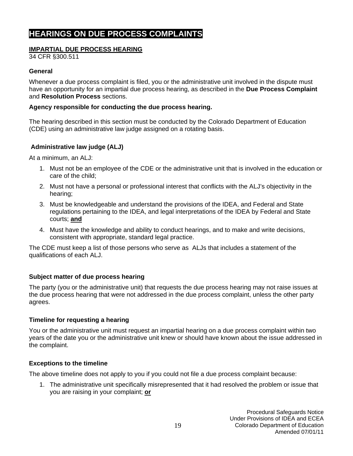### **HEARINGS ON DUE PROCESS COMPLAINTS**

### **IMPARTIAL DUE PROCESS HEARING**

34 CFR §300.511

### **General**

Whenever a due process complaint is filed, you or the administrative unit involved in the dispute must have an opportunity for an impartial due process hearing, as described in the **Due Process Complaint**  and **Resolution Process** sections.

### **Agency responsible for conducting the due process hearing.**

The hearing described in this section must be conducted by the Colorado Department of Education (CDE) using an administrative law judge assigned on a rotating basis.

### **Administrative law judge (ALJ)**

At a minimum, an ALJ:

- 1. Must not be an employee of the CDE or the administrative unit that is involved in the education or care of the child;
- 2. Must not have a personal or professional interest that conflicts with the ALJ's objectivity in the hearing;
- 3. Must be knowledgeable and understand the provisions of the IDEA, and Federal and State regulations pertaining to the IDEA, and legal interpretations of the IDEA by Federal and State courts; **and**
- 4. Must have the knowledge and ability to conduct hearings, and to make and write decisions, consistent with appropriate, standard legal practice.

The CDE must keep a list of those persons who serve as ALJs that includes a statement of the qualifications of each ALJ.

### **Subject matter of due process hearing**

The party (you or the administrative unit) that requests the due process hearing may not raise issues at the due process hearing that were not addressed in the due process complaint, unless the other party agrees.

### **Timeline for requesting a hearing**

You or the administrative unit must request an impartial hearing on a due process complaint within two years of the date you or the administrative unit knew or should have known about the issue addressed in the complaint.

### **Exceptions to the timeline**

The above timeline does not apply to you if you could not file a due process complaint because:

1. The administrative unit specifically misrepresented that it had resolved the problem or issue that you are raising in your complaint; **or**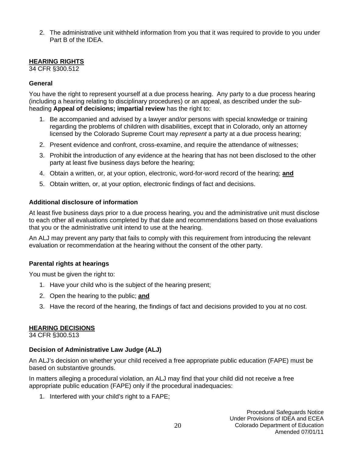2. The administrative unit withheld information from you that it was required to provide to you under Part B of the IDEA.

### **HEARING RIGHTS**

34 CFR §300.512

### **General**

You have the right to represent yourself at a due process hearing. Any party to a due process hearing (including a hearing relating to disciplinary procedures) or an appeal, as described under the subheading **Appeal of decisions; impartial review** has the right to:

- 1. Be accompanied and advised by a lawyer and/or persons with special knowledge or training regarding the problems of children with disabilities, except that in Colorado, only an attorney licensed by the Colorado Supreme Court may *represent* a party at a due process hearing;
- 2. Present evidence and confront, cross-examine, and require the attendance of witnesses;
- 3. Prohibit the introduction of any evidence at the hearing that has not been disclosed to the other party at least five business days before the hearing;
- 4. Obtain a written, or, at your option, electronic, word-for-word record of the hearing; **and**
- 5. Obtain written, or, at your option, electronic findings of fact and decisions.

### **Additional disclosure of information**

At least five business days prior to a due process hearing, you and the administrative unit must disclose to each other all evaluations completed by that date and recommendations based on those evaluations that you or the administrative unit intend to use at the hearing.

An ALJ may prevent any party that fails to comply with this requirement from introducing the relevant evaluation or recommendation at the hearing without the consent of the other party.

### **Parental rights at hearings**

You must be given the right to:

- 1. Have your child who is the subject of the hearing present;
- 2. Open the hearing to the public; **and**
- 3. Have the record of the hearing, the findings of fact and decisions provided to you at no cost.

### **HEARING DECISIONS**

34 CFR §300.513

### **Decision of Administrative Law Judge (ALJ)**

An ALJ's decision on whether your child received a free appropriate public education (FAPE) must be based on substantive grounds.

In matters alleging a procedural violation, an ALJ may find that your child did not receive a free appropriate public education (FAPE) only if the procedural inadequacies:

1. Interfered with your child's right to a FAPE;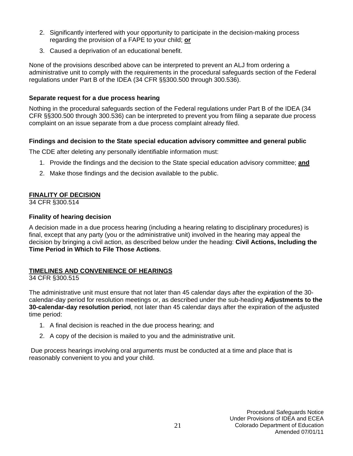- 2. Significantly interfered with your opportunity to participate in the decision-making process regarding the provision of a FAPE to your child; **or**
- 3. Caused a deprivation of an educational benefit.

None of the provisions described above can be interpreted to prevent an ALJ from ordering a administrative unit to comply with the requirements in the procedural safeguards section of the Federal regulations under Part B of the IDEA (34 CFR §§300.500 through 300.536).

### **Separate request for a due process hearing**

Nothing in the procedural safeguards section of the Federal regulations under Part B of the IDEA (34 CFR §§300.500 through 300.536) can be interpreted to prevent you from filing a separate due process complaint on an issue separate from a due process complaint already filed.

### **Findings and decision to the State special education advisory committee and general public**

The CDE after deleting any personally identifiable information must:

- 1. Provide the findings and the decision to the State special education advisory committee; **and**
- 2. Make those findings and the decision available to the public.

### **FINALITY OF DECISION**

34 CFR §300.514

### **Finality of hearing decision**

A decision made in a due process hearing (including a hearing relating to disciplinary procedures) is final, except that any party (you or the administrative unit) involved in the hearing may appeal the decision by bringing a civil action, as described below under the heading: **Civil Actions, Including the Time Period in Which to File Those Actions**.

### **TIMELINES AND CONVENIENCE OF HEARINGS**

### 34 CFR §300.515

The administrative unit must ensure that not later than 45 calendar days after the expiration of the 30 calendar-day period for resolution meetings or, as described under the sub-heading **Adjustments to the 30-calendar-day resolution period**, not later than 45 calendar days after the expiration of the adjusted time period:

- 1. A final decision is reached in the due process hearing; and
- 2. A copy of the decision is mailed to you and the administrative unit.

 Due process hearings involving oral arguments must be conducted at a time and place that is reasonably convenient to you and your child.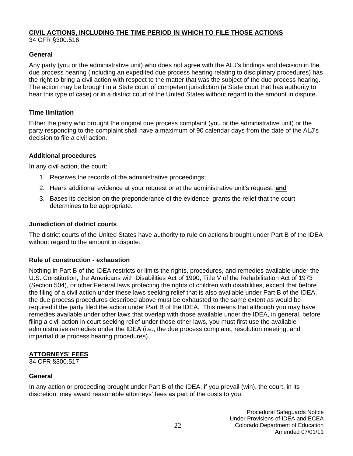#### **CIVIL ACTIONS, INCLUDING THE TIME PERIOD IN WHICH TO FILE THOSE ACTIONS** 34 CFR §300.516

### **General**

Any party (you or the administrative unit) who does not agree with the ALJ's findings and decision in the due process hearing (including an expedited due process hearing relating to disciplinary procedures) has the right to bring a civil action with respect to the matter that was the subject of the due process hearing. The action may be brought in a State court of competent jurisdiction (a State court that has authority to hear this type of case) or in a district court of the United States without regard to the amount in dispute.

### **Time limitation**

Either the party who brought the original due process complaint (you or the administrative unit) or the party responding to the complaint shall have a maximum of 90 calendar days from the date of the ALJ's decision to file a civil action.

### **Additional procedures**

In any civil action, the court:

- 1. Receives the records of the administrative proceedings;
- 2. Hears additional evidence at your request or at the administrative unit's request; **and**
- 3. Bases its decision on the preponderance of the evidence, grants the relief that the court determines to be appropriate.

### **Jurisdiction of district courts**

The district courts of the United States have authority to rule on actions brought under Part B of the IDEA without regard to the amount in dispute.

### **Rule of construction - exhaustion**

Nothing in Part B of the IDEA restricts or limits the rights, procedures, and remedies available under the U.S. Constitution, the Americans with Disabilities Act of 1990, Title V of the Rehabilitation Act of 1973 (Section 504), or other Federal laws protecting the rights of children with disabilities, except that before the filing of a civil action under these laws seeking relief that is also available under Part B of the IDEA, the due process procedures described above must be exhausted to the same extent as would be required if the party filed the action under Part B of the IDEA. This means that although you may have remedies available under other laws that overlap with those available under the IDEA, in general, before filing a civil action in court seeking relief under those other laws, you must first use the available administrative remedies under the IDEA (i.e., the due process complaint, resolution meeting, and impartial due process hearing procedures).

### **ATTORNEYS' FEES**

34 CFR §300.517

### **General**

In any action or proceeding brought under Part B of the IDEA, if you prevail (win), the court, in its discretion, may award reasonable attorneys' fees as part of the costs to you.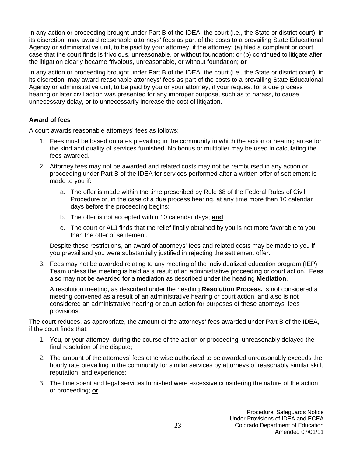In any action or proceeding brought under Part B of the IDEA, the court (i.e., the State or district court), in its discretion, may award reasonable attorneys' fees as part of the costs to a prevailing State Educational Agency or administrative unit, to be paid by your attorney, if the attorney: (a) filed a complaint or court case that the court finds is frivolous, unreasonable, or without foundation; or (b) continued to litigate after the litigation clearly became frivolous, unreasonable, or without foundation; **or**

In any action or proceeding brought under Part B of the IDEA, the court (i.e., the State or district court), in its discretion, may award reasonable attorneys' fees as part of the costs to a prevailing State Educational Agency or administrative unit, to be paid by you or your attorney, if your request for a due process hearing or later civil action was presented for any improper purpose, such as to harass, to cause unnecessary delay, or to unnecessarily increase the cost of litigation.

### **Award of fees**

A court awards reasonable attorneys' fees as follows:

- 1. Fees must be based on rates prevailing in the community in which the action or hearing arose for the kind and quality of services furnished. No bonus or multiplier may be used in calculating the fees awarded.
- 2. Attorney fees may not be awarded and related costs may not be reimbursed in any action or proceeding under Part B of the IDEA for services performed after a written offer of settlement is made to you if:
	- a. The offer is made within the time prescribed by Rule 68 of the Federal Rules of Civil Procedure or, in the case of a due process hearing, at any time more than 10 calendar days before the proceeding begins;
	- b. The offer is not accepted within 10 calendar days; **and**
	- c. The court or ALJ finds that the relief finally obtained by you is not more favorable to you than the offer of settlement.

Despite these restrictions, an award of attorneys' fees and related costs may be made to you if you prevail and you were substantially justified in rejecting the settlement offer.

3. Fees may not be awarded relating to any meeting of the individualized education program (IEP) Team unless the meeting is held as a result of an administrative proceeding or court action. Fees also may not be awarded for a mediation as described under the heading **Mediation**.

A resolution meeting, as described under the heading **Resolution Process,** is not considered a meeting convened as a result of an administrative hearing or court action, and also is not considered an administrative hearing or court action for purposes of these attorneys' fees provisions.

The court reduces, as appropriate, the amount of the attorneys' fees awarded under Part B of the IDEA, if the court finds that:

- 1. You, or your attorney, during the course of the action or proceeding, unreasonably delayed the final resolution of the dispute;
- 2. The amount of the attorneys' fees otherwise authorized to be awarded unreasonably exceeds the hourly rate prevailing in the community for similar services by attorneys of reasonably similar skill, reputation, and experience;
- 3. The time spent and legal services furnished were excessive considering the nature of the action or proceeding; **or**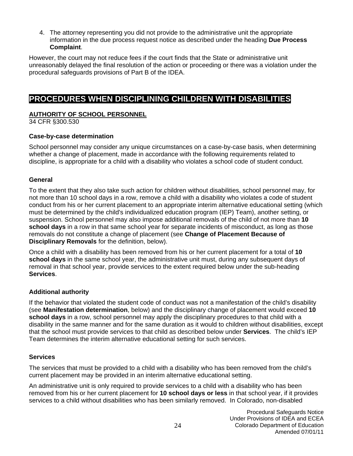4. The attorney representing you did not provide to the administrative unit the appropriate information in the due process request notice as described under the heading **Due Process Complaint**.

However, the court may not reduce fees if the court finds that the State or administrative unit unreasonably delayed the final resolution of the action or proceeding or there was a violation under the procedural safeguards provisions of Part B of the IDEA.

### **PROCEDURES WHEN DISCIPLINING CHILDREN WITH DISABILITIES**

### **AUTHORITY OF SCHOOL PERSONNEL**

34 CFR §300.530

### **Case-by-case determination**

School personnel may consider any unique circumstances on a case-by-case basis, when determining whether a change of placement, made in accordance with the following requirements related to discipline, is appropriate for a child with a disability who violates a school code of student conduct.

### **General**

To the extent that they also take such action for children without disabilities, school personnel may, for not more than 10 school days in a row, remove a child with a disability who violates a code of student conduct from his or her current placement to an appropriate interim alternative educational setting (which must be determined by the child's individualized education program (IEP) Team), another setting, or suspension. School personnel may also impose additional removals of the child of not more than **10 school days** in a row in that same school year for separate incidents of misconduct, as long as those removals do not constitute a change of placement (see **Change of Placement Because of Disciplinary Removals** for the definition, below).

Once a child with a disability has been removed from his or her current placement for a total of **10 school days** in the same school year, the administrative unit must, during any subsequent days of removal in that school year, provide services to the extent required below under the sub-heading **Services**.

### **Additional authority**

If the behavior that violated the student code of conduct was not a manifestation of the child's disability (see **Manifestation determination**, below) and the disciplinary change of placement would exceed **10 school days** in a row, school personnel may apply the disciplinary procedures to that child with a disability in the same manner and for the same duration as it would to children without disabilities, except that the school must provide services to that child as described below under **Services**. The child's IEP Team determines the interim alternative educational setting for such services.

### **Services**

The services that must be provided to a child with a disability who has been removed from the child's current placement may be provided in an interim alternative educational setting.

An administrative unit is only required to provide services to a child with a disability who has been removed from his or her current placement for **10 school days or less** in that school year, if it provides services to a child without disabilities who has been similarly removed. In Colorado, non-disabled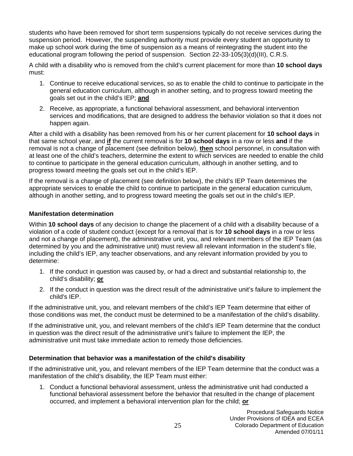students who have been removed for short term suspensions typically do not receive services during the suspension period. However, the suspending authority must provide every student an opportunity to make up school work during the time of suspension as a means of reintegrating the student into the educational program following the period of suspension. Section 22-33-105(3)(d)(III), C.R.S.

A child with a disability who is removed from the child's current placement for more than **10 school days** must:

- 1. Continue to receive educational services, so as to enable the child to continue to participate in the general education curriculum, although in another setting, and to progress toward meeting the goals set out in the child's IEP; **and**
- 2. Receive, as appropriate, a functional behavioral assessment, and behavioral intervention services and modifications, that are designed to address the behavior violation so that it does not happen again.

After a child with a disability has been removed from his or her current placement for **10 school days** in that same school year, and **if** the current removal is for **10 school days** in a row or less **and** if the removal is not a change of placement (see definition below), **then** school personnel, in consultation with at least one of the child's teachers, determine the extent to which services are needed to enable the child to continue to participate in the general education curriculum, although in another setting, and to progress toward meeting the goals set out in the child's IEP.

If the removal is a change of placement (see definition below), the child's IEP Team determines the appropriate services to enable the child to continue to participate in the general education curriculum, although in another setting, and to progress toward meeting the goals set out in the child's IEP.

### **Manifestation determination**

Within **10 school days** of any decision to change the placement of a child with a disability because of a violation of a code of student conduct (except for a removal that is for **10 school days** in a row or less and not a change of placement), the administrative unit, you, and relevant members of the IEP Team (as determined by you and the administrative unit) must review all relevant information in the student's file, including the child's IEP, any teacher observations, and any relevant information provided by you to determine:

- 1. If the conduct in question was caused by, or had a direct and substantial relationship to, the child's disability; **or**
- 2. If the conduct in question was the direct result of the administrative unit's failure to implement the child's IEP.

If the administrative unit, you, and relevant members of the child's IEP Team determine that either of those conditions was met, the conduct must be determined to be a manifestation of the child's disability.

If the administrative unit, you, and relevant members of the child's IEP Team determine that the conduct in question was the direct result of the administrative unit's failure to implement the IEP, the administrative unit must take immediate action to remedy those deficiencies.

### **Determination that behavior was a manifestation of the child's disability**

If the administrative unit, you, and relevant members of the IEP Team determine that the conduct was a manifestation of the child's disability, the IEP Team must either:

1. Conduct a functional behavioral assessment, unless the administrative unit had conducted a functional behavioral assessment before the behavior that resulted in the change of placement occurred, and implement a behavioral intervention plan for the child; **or**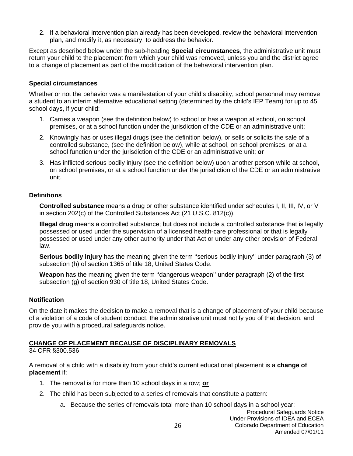2. If a behavioral intervention plan already has been developed, review the behavioral intervention plan, and modify it, as necessary, to address the behavior.

Except as described below under the sub-heading **Special circumstances**, the administrative unit must return your child to the placement from which your child was removed, unless you and the district agree to a change of placement as part of the modification of the behavioral intervention plan.

### **Special circumstances**

Whether or not the behavior was a manifestation of your child's disability, school personnel may remove a student to an interim alternative educational setting (determined by the child's IEP Team) for up to 45 school days, if your child:

- 1. Carries a weapon (see the definition below) to school or has a weapon at school, on school premises, or at a school function under the jurisdiction of the CDE or an administrative unit;
- 2. Knowingly has or uses illegal drugs (see the definition below), or sells or solicits the sale of a controlled substance, (see the definition below), while at school, on school premises, or at a school function under the jurisdiction of the CDE or an administrative unit; **or**
- 3. Has inflicted serious bodily injury (see the definition below) upon another person while at school, on school premises, or at a school function under the jurisdiction of the CDE or an administrative unit.

### **Definitions**

**Controlled substance** means a drug or other substance identified under schedules I, II, III, IV, or V in section 202(c) of the Controlled Substances Act (21 U.S.C. 812(c)).

**Illegal drug** means a controlled substance; but does not include a controlled substance that is legally possessed or used under the supervision of a licensed health-care professional or that is legally possessed or used under any other authority under that Act or under any other provision of Federal law.

**Serious bodily injury** has the meaning given the term "serious bodily injury" under paragraph (3) of subsection (h) of section 1365 of title 18, United States Code.

**Weapon** has the meaning given the term ''dangerous weapon'' under paragraph (2) of the first subsection (g) of section 930 of title 18, United States Code.

### **Notification**

On the date it makes the decision to make a removal that is a change of placement of your child because of a violation of a code of student conduct, the administrative unit must notify you of that decision, and provide you with a procedural safeguards notice.

### **CHANGE OF PLACEMENT BECAUSE OF DISCIPLINARY REMOVALS**

### 34 CFR §300.536

A removal of a child with a disability from your child's current educational placement is a **change of placement** if:

- 1. The removal is for more than 10 school days in a row; **or**
- 2. The child has been subjected to a series of removals that constitute a pattern:
	- a. Because the series of removals total more than 10 school days in a school year;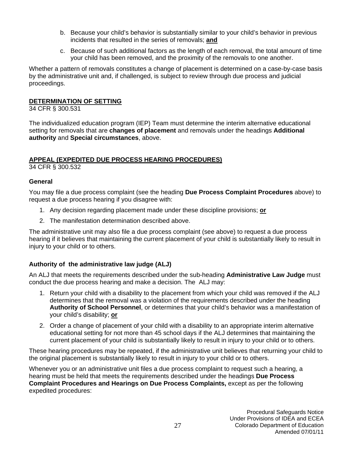- b. Because your child's behavior is substantially similar to your child's behavior in previous incidents that resulted in the series of removals; **and**
- c. Because of such additional factors as the length of each removal, the total amount of time your child has been removed, and the proximity of the removals to one another.

Whether a pattern of removals constitutes a change of placement is determined on a case-by-case basis by the administrative unit and, if challenged, is subject to review through due process and judicial proceedings.

### **DETERMINATION OF SETTING**

34 CFR § 300.531

The individualized education program (IEP) Team must determine the interim alternative educational setting for removals that are **changes of placement** and removals under the headings **Additional authority** and **Special circumstances**, above.

### **APPEAL (EXPEDITED DUE PROCESS HEARING PROCEDURES)**

34 CFR § 300.532

### **General**

You may file a due process complaint (see the heading **Due Process Complaint Procedures** above) to request a due process hearing if you disagree with:

- 1. Any decision regarding placement made under these discipline provisions; **or**
- 2. The manifestation determination described above.

The administrative unit may also file a due process complaint (see above) to request a due process hearing if it believes that maintaining the current placement of your child is substantially likely to result in injury to your child or to others.

### **Authority of the administrative law judge (ALJ)**

An ALJ that meets the requirements described under the sub-heading **Administrative Law Judge** must conduct the due process hearing and make a decision. The ALJ may:

- 1. Return your child with a disability to the placement from which your child was removed if the ALJ determines that the removal was a violation of the requirements described under the heading **Authority of School Personnel**, or determines that your child's behavior was a manifestation of your child's disability; **or**
- 2. Order a change of placement of your child with a disability to an appropriate interim alternative educational setting for not more than 45 school days if the ALJ determines that maintaining the current placement of your child is substantially likely to result in injury to your child or to others.

These hearing procedures may be repeated, if the administrative unit believes that returning your child to the original placement is substantially likely to result in injury to your child or to others.

Whenever you or an administrative unit files a due process complaint to request such a hearing, a hearing must be held that meets the requirements described under the headings **Due Process Complaint Procedures and Hearings on Due Process Complaints,** except as per the following expedited procedures: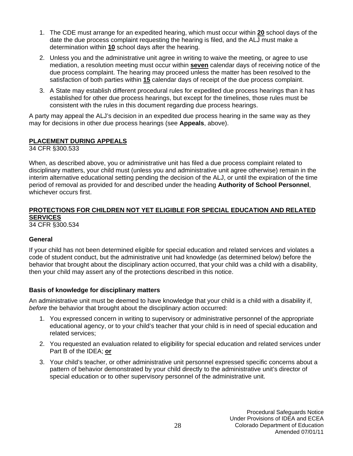- 1. The CDE must arrange for an expedited hearing, which must occur within **20** school days of the date the due process complaint requesting the hearing is filed, and the ALJ must make a determination within **10** school days after the hearing.
- 2. Unless you and the administrative unit agree in writing to waive the meeting, or agree to use mediation, a resolution meeting must occur within **seven** calendar days of receiving notice of the due process complaint. The hearing may proceed unless the matter has been resolved to the satisfaction of both parties within **15** calendar days of receipt of the due process complaint.
- 3. A State may establish different procedural rules for expedited due process hearings than it has established for other due process hearings, but except for the timelines, those rules must be consistent with the rules in this document regarding due process hearings.

A party may appeal the ALJ's decision in an expedited due process hearing in the same way as they may for decisions in other due process hearings (see **Appeals**, above).

### **PLACEMENT DURING APPEALS**

34 CFR §300.533

When, as described above, you or administrative unit has filed a due process complaint related to disciplinary matters, your child must (unless you and administrative unit agree otherwise) remain in the interim alternative educational setting pending the decision of the ALJ, or until the expiration of the time period of removal as provided for and described under the heading **Authority of School Personnel**, whichever occurs first.

### **PROTECTIONS FOR CHILDREN NOT YET ELIGIBLE FOR SPECIAL EDUCATION AND RELATED SERVICES**

34 CFR §300.534

### **General**

If your child has not been determined eligible for special education and related services and violates a code of student conduct, but the administrative unit had knowledge (as determined below) before the behavior that brought about the disciplinary action occurred, that your child was a child with a disability, then your child may assert any of the protections described in this notice.

### **Basis of knowledge for disciplinary matters**

An administrative unit must be deemed to have knowledge that your child is a child with a disability if, *before* the behavior that brought about the disciplinary action occurred:

- 1. You expressed concern in writing to supervisory or administrative personnel of the appropriate educational agency, or to your child's teacher that your child is in need of special education and related services;
- 2. You requested an evaluation related to eligibility for special education and related services under Part B of the IDEA; **or**
- 3. Your child's teacher, or other administrative unit personnel expressed specific concerns about a pattern of behavior demonstrated by your child directly to the administrative unit's director of special education or to other supervisory personnel of the administrative unit.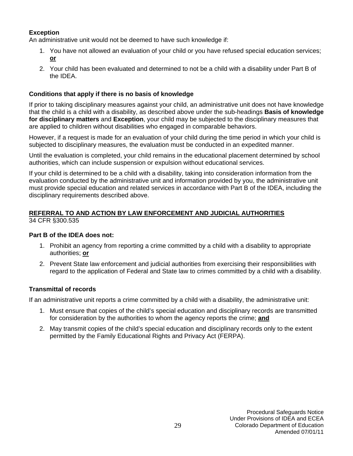### **Exception**

An administrative unit would not be deemed to have such knowledge if:

- 1. You have not allowed an evaluation of your child or you have refused special education services; **or**
- 2. Your child has been evaluated and determined to not be a child with a disability under Part B of the IDEA.

### **Conditions that apply if there is no basis of knowledge**

If prior to taking disciplinary measures against your child, an administrative unit does not have knowledge that the child is a child with a disability, as described above under the sub-headings **Basis of knowledge for disciplinary matters** and **Exception**, your child may be subjected to the disciplinary measures that are applied to children without disabilities who engaged in comparable behaviors.

However, if a request is made for an evaluation of your child during the time period in which your child is subjected to disciplinary measures, the evaluation must be conducted in an expedited manner.

Until the evaluation is completed, your child remains in the educational placement determined by school authorities, which can include suspension or expulsion without educational services.

If your child is determined to be a child with a disability, taking into consideration information from the evaluation conducted by the administrative unit and information provided by you, the administrative unit must provide special education and related services in accordance with Part B of the IDEA, including the disciplinary requirements described above.

### **REFERRAL TO AND ACTION BY LAW ENFORCEMENT AND JUDICIAL AUTHORITIES** 34 CFR §300.535

### **Part B of the IDEA does not:**

- 1. Prohibit an agency from reporting a crime committed by a child with a disability to appropriate authorities; **or**
- 2. Prevent State law enforcement and judicial authorities from exercising their responsibilities with regard to the application of Federal and State law to crimes committed by a child with a disability.

### **Transmittal of records**

If an administrative unit reports a crime committed by a child with a disability, the administrative unit:

- 1. Must ensure that copies of the child's special education and disciplinary records are transmitted for consideration by the authorities to whom the agency reports the crime; **and**
- 2. May transmit copies of the child's special education and disciplinary records only to the extent permitted by the Family Educational Rights and Privacy Act (FERPA).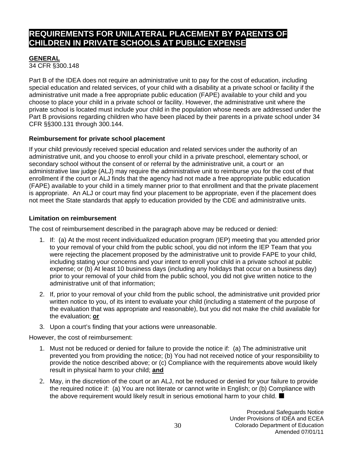### **REQUIREMENTS FOR UNILATERAL PLACEMENT BY PARENTS OF CHILDREN IN PRIVATE SCHOOLS AT PUBLIC EXPENSE**

### **GENERAL**

34 CFR §300.148

Part B of the IDEA does not require an administrative unit to pay for the cost of education, including special education and related services, of your child with a disability at a private school or facility if the administrative unit made a free appropriate public education (FAPE) available to your child and you choose to place your child in a private school or facility. However, the administrative unit where the private school is located must include your child in the population whose needs are addressed under the Part B provisions regarding children who have been placed by their parents in a private school under 34 CFR §§300.131 through 300.144.

### **Reimbursement for private school placement**

If your child previously received special education and related services under the authority of an administrative unit, and you choose to enroll your child in a private preschool, elementary school, or secondary school without the consent of or referral by the administrative unit, a court or an administrative law judge (ALJ) may require the administrative unit to reimburse you for the cost of that enrollment if the court or ALJ finds that the agency had not made a free appropriate public education (FAPE) available to your child in a timely manner prior to that enrollment and that the private placement is appropriate. An ALJ or court may find your placement to be appropriate, even if the placement does not meet the State standards that apply to education provided by the CDE and administrative units.

### **Limitation on reimbursement**

The cost of reimbursement described in the paragraph above may be reduced or denied:

- 1. If: (a) At the most recent individualized education program (IEP) meeting that you attended prior to your removal of your child from the public school, you did not inform the IEP Team that you were rejecting the placement proposed by the administrative unit to provide FAPE to your child, including stating your concerns and your intent to enroll your child in a private school at public expense; or (b) At least 10 business days (including any holidays that occur on a business day) prior to your removal of your child from the public school, you did not give written notice to the administrative unit of that information;
- 2. If, prior to your removal of your child from the public school, the administrative unit provided prior written notice to you, of its intent to evaluate your child (including a statement of the purpose of the evaluation that was appropriate and reasonable), but you did not make the child available for the evaluation; **or**
- 3. Upon a court's finding that your actions were unreasonable.

However, the cost of reimbursement:

- 1. Must not be reduced or denied for failure to provide the notice if: (a) The administrative unit prevented you from providing the notice; (b) You had not received notice of your responsibility to provide the notice described above; or (c) Compliance with the requirements above would likely result in physical harm to your child; **and**
- 2. May, in the discretion of the court or an ALJ, not be reduced or denied for your failure to provide the required notice if: (a) You are not literate or cannot write in English; or (b) Compliance with the above requirement would likely result in serious emotional harm to your child.